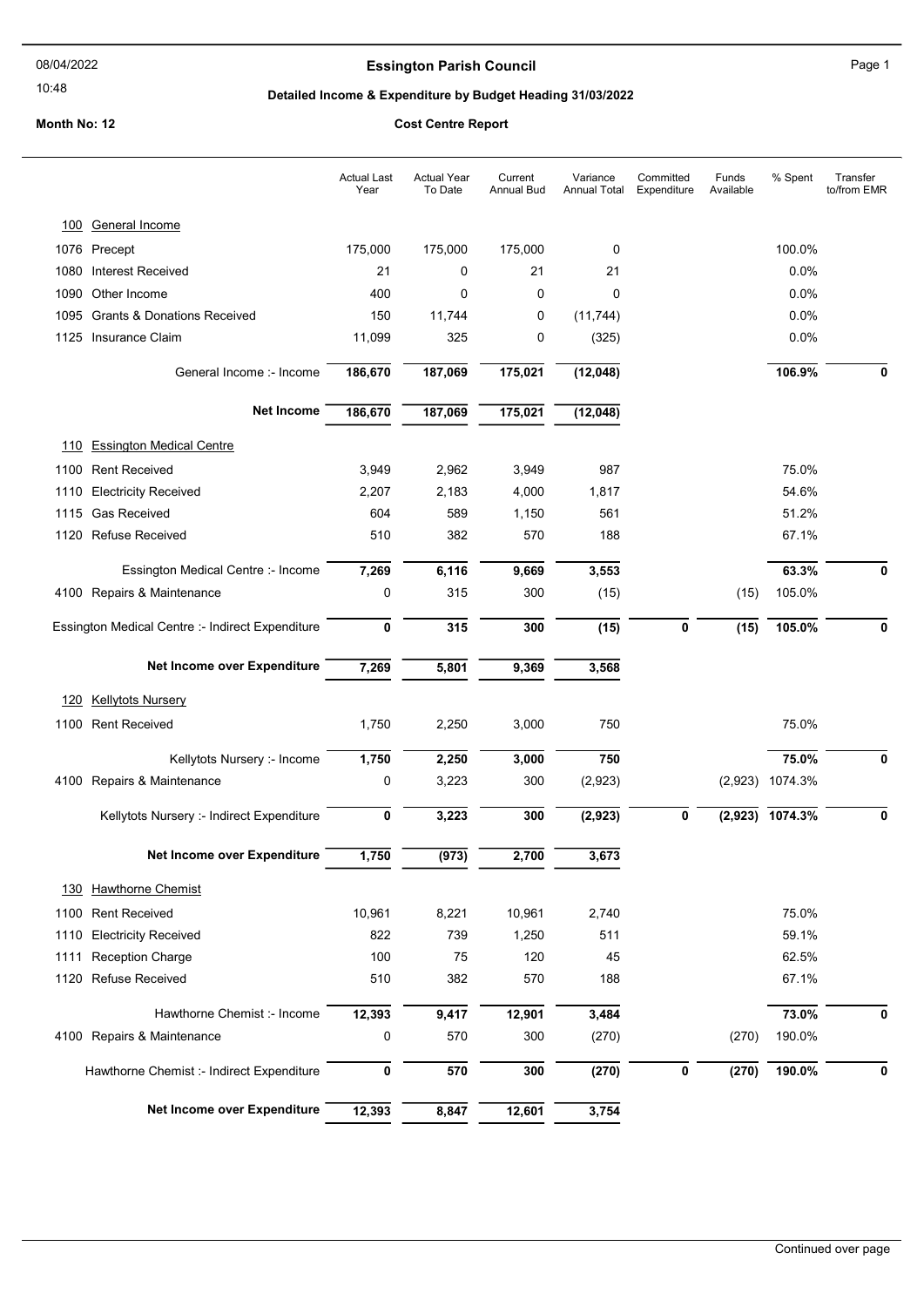#### 10:48

### **Essington Parish Council Council Page 1**

#### Detailed Income & Expenditure by Budget Heading 31/03/2022

#### Month No: 12 Cost Centre Report

# Actual Year To Date Current Annual Bud Variance Annual Total **Committed** Expenditure Funds Available Actual Last Year % Spent Transfer to/from EMR 100 General Income 1076 Precept 175,000 175,000 175,000 0 100.0% 1080 Interest Received 21 0 21 21 0.0% 1090 Other Income 400 0 0 0 0.0% 1095 Grants & Donations Received 150 11,744 0 (11,744) 0.0% 1125 Insurance Claim 11,099 325 0 (325) 0.0% General Income :- Income **186,670 187,069 175,021 (12,048)** 106.9% 106.9% 0 Net Income 186,670 187,069 175,021 (12,048) 110 Essington Medical Centre 1100 Rent Received 3,949 2,962 3,949 987 75.0% 1110 Electricity Received 2,207 2,183 4,000 1,817 54.6% 1115 Gas Received 604 589 1,150 561 51.2% 1120 Refuse Received 510 382 570 188 67.1% Essington Medical Centre :- Income 7,269 6,116 9,669 3,553 63,3% 63,3% 0 0 4100 Repairs & Maintenance 0 315 300 (15) (15) 105.0% Essington Medical Centre :- Indirect Expenditure  $\overline{0}$   $\overline{315}$   $\overline{300}$   $\overline{(15)}$   $\overline{0}$   $\overline{0}$   $\overline{(15)}$   $\overline{105.0\%}$   $\overline{0}$ Net Income over Expenditure 7,269 5,801 9,369 3,568 120 Kellytots Nursery 1100 Rent Received 1,750 2,250 3,000 750 75.0% Kellytots Nursery :- Income  $\overline{1.750}$   $\overline{2.250}$   $\overline{3.000}$   $\overline{750}$   $\overline{75.0\%}$   $\overline{0}$   $\overline{75.0\%}$   $\overline{0}$ 4100 Repairs & Maintenance 0 3,223 300 (2,923) (2,923) 1074.3% Kellytots Nursery :- Indirect Expenditure  $\frac{1}{0}$   $\frac{3,223}{3,223}$   $\frac{300}{300}$   $\frac{(2,923)}{(2,923)}$   $\frac{1}{0}$   $\frac{(2,923)}{1074.3\%}$   $\frac{1}{0}$ Net Income over Expenditure 1,750 (973) 2,700 3,673 130 Hawthorne Chemist 1100 Rent Received 10,961 8,221 10,961 2,740 75.0% 1110 Electricity Received 822 739 1,250 511 59.1% 1111 Reception Charge 100 100 75 120 45 62.5% 1120 Refuse Received 510 382 570 188 67.1% Hawthorne Chemist :- Income  $\overline{12,393}$   $\overline{9,417}$   $\overline{12,901}$   $\overline{3,484}$   $\overline{73.0\%}$   $\overline{73.0\%}$  0 4100 Repairs & Maintenance 0 570 300 (270) (270) 190.0% Hawthorne Chemist :- Indirect Expenditure 0 570 570 300 (270) 0 (270) 190.0% 0 Net Income over Expenditure 12,393 8,847 12,601 3,754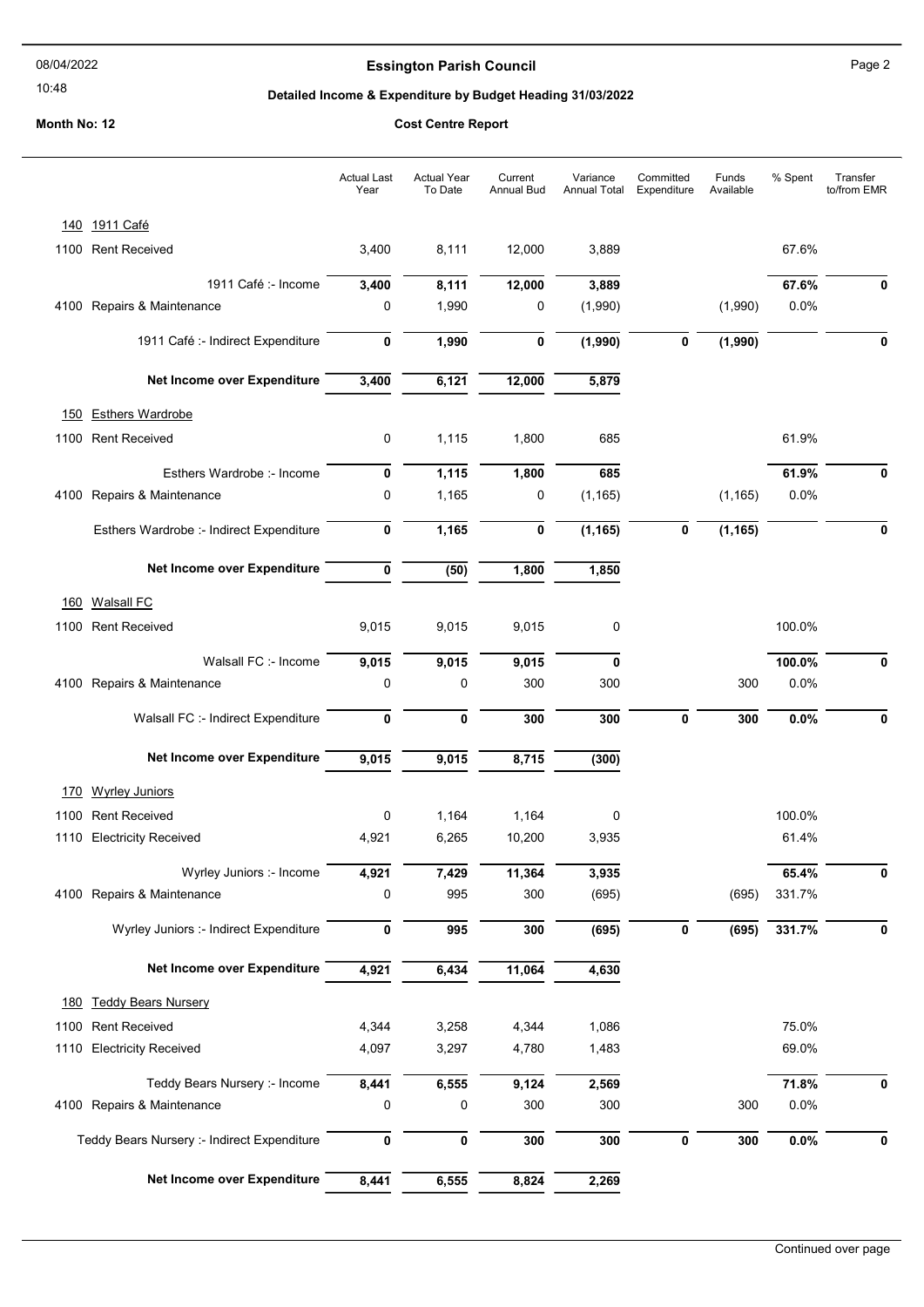## 08/04/2022

## 10:48

# Essington Parish Council **Essington Parish Council**

# Detailed Income & Expenditure by Budget Heading 31/03/2022

|      |                                             | <b>Actual Last</b><br>Year | <b>Actual Year</b><br>To Date | Current<br>Annual Bud | Variance<br>Annual Total | Committed<br>Expenditure | Funds<br>Available | % Spent | Transfer<br>to/from EMR |
|------|---------------------------------------------|----------------------------|-------------------------------|-----------------------|--------------------------|--------------------------|--------------------|---------|-------------------------|
|      | 140 1911 Café                               |                            |                               |                       |                          |                          |                    |         |                         |
| 1100 | <b>Rent Received</b>                        | 3,400                      | 8,111                         | 12,000                | 3,889                    |                          |                    | 67.6%   |                         |
|      | 1911 Café :- Income                         | 3,400                      | 8,111                         | 12,000                | 3,889                    |                          |                    | 67.6%   |                         |
|      | 4100 Repairs & Maintenance                  | 0                          | 1,990                         | 0                     | (1,990)                  |                          | (1,990)            | 0.0%    |                         |
|      | 1911 Café :- Indirect Expenditure           | 0                          | 1,990                         | 0                     | (1,990)                  | 0                        | (1,990)            |         | 0                       |
|      |                                             |                            |                               |                       |                          |                          |                    |         |                         |
|      | Net Income over Expenditure                 | 3,400                      | 6,121                         | 12,000                | 5,879                    |                          |                    |         |                         |
| 150  | <b>Esthers Wardrobe</b>                     |                            |                               |                       |                          |                          |                    |         |                         |
| 1100 | <b>Rent Received</b>                        | 0                          | 1,115                         | 1,800                 | 685                      |                          |                    | 61.9%   |                         |
|      | Esthers Wardrobe :- Income                  | 0                          | 1,115                         | 1,800                 | 685                      |                          |                    | 61.9%   | 0                       |
|      | 4100 Repairs & Maintenance                  | 0                          | 1,165                         | 0                     | (1, 165)                 |                          | (1, 165)           | 0.0%    |                         |
|      | Esthers Wardrobe :- Indirect Expenditure    | 0                          | 1,165                         | 0                     | (1, 165)                 | 0                        | (1, 165)           |         | $\bf{0}$                |
|      |                                             |                            |                               |                       |                          |                          |                    |         |                         |
|      | Net Income over Expenditure                 | 0                          | (50)                          | 1,800                 | 1,850                    |                          |                    |         |                         |
| 160  | <b>Walsall FC</b>                           |                            |                               |                       |                          |                          |                    |         |                         |
| 1100 | <b>Rent Received</b>                        | 9,015                      | 9,015                         | 9,015                 | 0                        |                          |                    | 100.0%  |                         |
|      | Walsall FC :- Income                        | 9,015                      | 9,015                         | 9,015                 | 0                        |                          |                    | 100.0%  |                         |
|      | 4100 Repairs & Maintenance                  | 0                          | 0                             | 300                   | 300                      |                          | 300                | 0.0%    |                         |
|      | Walsall FC :- Indirect Expenditure          | 0                          | $\mathbf 0$                   | 300                   | 300                      | $\mathbf 0$              | 300                | 0.0%    | U                       |
|      | Net Income over Expenditure                 | 9,015                      | 9,015                         | 8,715                 | (300)                    |                          |                    |         |                         |
|      |                                             |                            |                               |                       |                          |                          |                    |         |                         |
| 170  | <b>Wyrley Juniors</b>                       |                            |                               |                       |                          |                          |                    |         |                         |
|      | 1100 Rent Received                          | 0                          | 1,164                         | 1,164                 | 0                        |                          |                    | 100.0%  |                         |
|      | 1110 Electricity Received                   | 4,921                      | 6,265                         | 10,200                | 3,935                    |                          |                    | 61.4%   |                         |
|      | Wyrley Juniors :- Income                    | 4,921                      | 7,429                         | 11,364                | 3,935                    |                          |                    | 65.4%   | 0                       |
|      | 4100 Repairs & Maintenance                  | 0                          | 995                           | 300                   | (695)                    |                          | (695)              | 331.7%  |                         |
|      | Wyrley Juniors :- Indirect Expenditure      | 0                          | 995                           | 300                   | (695)                    | $\pmb{0}$                | (695)              | 331.7%  | 0                       |
|      | Net Income over Expenditure                 | 4,921                      | 6,434                         | 11,064                | 4,630                    |                          |                    |         |                         |
|      | 180 Teddy Bears Nursery                     |                            |                               |                       |                          |                          |                    |         |                         |
| 1100 | <b>Rent Received</b>                        | 4,344                      | 3,258                         | 4,344                 | 1,086                    |                          |                    | 75.0%   |                         |
|      | 1110 Electricity Received                   | 4,097                      | 3,297                         | 4,780                 | 1,483                    |                          |                    | 69.0%   |                         |
|      | Teddy Bears Nursery :- Income               | 8,441                      | 6,555                         | 9,124                 | 2,569                    |                          |                    | 71.8%   | 0                       |
|      | 4100 Repairs & Maintenance                  | 0                          | 0                             | 300                   | 300                      |                          | 300                | 0.0%    |                         |
|      | Teddy Bears Nursery :- Indirect Expenditure | 0                          | 0                             | 300                   | 300                      | 0                        | 300                | 0.0%    | 0                       |
|      |                                             |                            |                               |                       |                          |                          |                    |         |                         |
|      | Net Income over Expenditure                 | 8,441                      | 6,555                         | 8,824                 | 2,269                    |                          |                    |         |                         |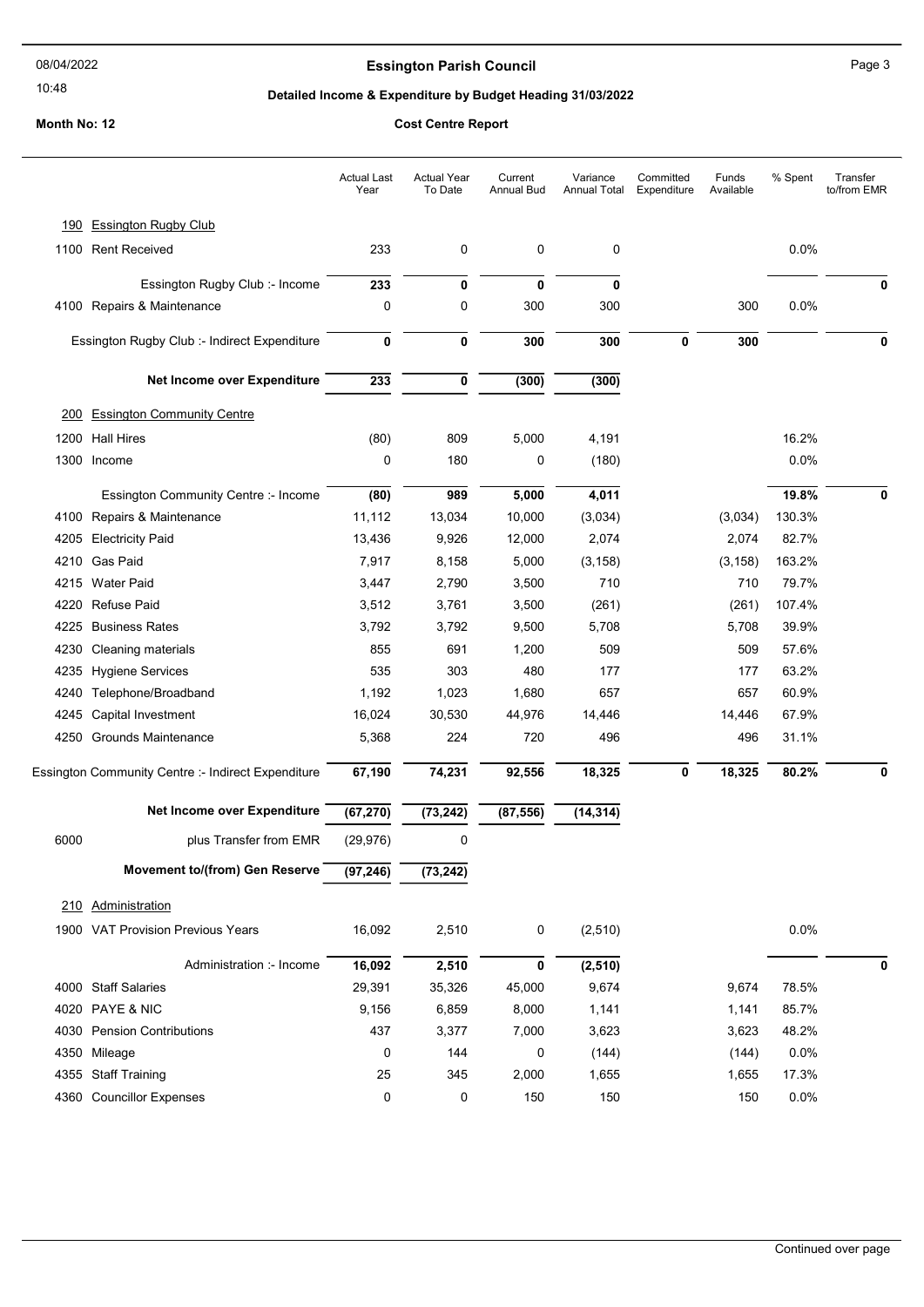### 10:48

# Essington Parish Council **Essington Parish Council**

# Detailed Income & Expenditure by Budget Heading 31/03/2022

|      |                                                    | <b>Actual Last</b><br>Year | <b>Actual Year</b><br>To Date | Current<br><b>Annual Bud</b> | Variance<br>Annual Total | Committed<br>Expenditure | Funds<br>Available | % Spent | Transfer<br>to/from EMR |
|------|----------------------------------------------------|----------------------------|-------------------------------|------------------------------|--------------------------|--------------------------|--------------------|---------|-------------------------|
| 190  | <b>Essington Rugby Club</b>                        |                            |                               |                              |                          |                          |                    |         |                         |
|      | 1100 Rent Received                                 | 233                        | 0                             | 0                            | 0                        |                          |                    | 0.0%    |                         |
|      | Essington Rugby Club :- Income                     | 233                        | 0                             | $\mathbf 0$                  | 0                        |                          |                    |         | 0                       |
|      | 4100 Repairs & Maintenance                         | 0                          | 0                             | 300                          | 300                      |                          | 300                | 0.0%    |                         |
|      | Essington Rugby Club :- Indirect Expenditure       | $\mathbf 0$                | $\mathbf 0$                   | 300                          | 300                      | 0                        | 300                |         | 0                       |
|      | Net Income over Expenditure                        | 233                        | 0                             | (300)                        | (300)                    |                          |                    |         |                         |
| 200  | <b>Essington Community Centre</b>                  |                            |                               |                              |                          |                          |                    |         |                         |
| 1200 | <b>Hall Hires</b>                                  | (80)                       | 809                           | 5,000                        | 4,191                    |                          |                    | 16.2%   |                         |
| 1300 | Income                                             | 0                          | 180                           | 0                            | (180)                    |                          |                    | 0.0%    |                         |
|      | Essington Community Centre :- Income               | (80)                       | 989                           | 5,000                        | 4,011                    |                          |                    | 19.8%   | 0                       |
|      | 4100 Repairs & Maintenance                         | 11,112                     | 13,034                        | 10,000                       | (3,034)                  |                          | (3,034)            | 130.3%  |                         |
| 4205 | <b>Electricity Paid</b>                            | 13,436                     | 9,926                         | 12,000                       | 2,074                    |                          | 2,074              | 82.7%   |                         |
| 4210 | Gas Paid                                           | 7,917                      | 8,158                         | 5,000                        | (3, 158)                 |                          | (3, 158)           | 163.2%  |                         |
| 4215 | <b>Water Paid</b>                                  | 3,447                      | 2,790                         | 3,500                        | 710                      |                          | 710                | 79.7%   |                         |
| 4220 | <b>Refuse Paid</b>                                 | 3,512                      | 3,761                         | 3,500                        | (261)                    |                          | (261)              | 107.4%  |                         |
| 4225 | <b>Business Rates</b>                              | 3,792                      | 3,792                         | 9,500                        | 5,708                    |                          | 5,708              | 39.9%   |                         |
| 4230 | Cleaning materials                                 | 855                        | 691                           | 1,200                        | 509                      |                          | 509                | 57.6%   |                         |
| 4235 | <b>Hygiene Services</b>                            | 535                        | 303                           | 480                          | 177                      |                          | 177                | 63.2%   |                         |
| 4240 | Telephone/Broadband                                | 1,192                      | 1,023                         | 1,680                        | 657                      |                          | 657                | 60.9%   |                         |
| 4245 | Capital Investment                                 | 16,024                     | 30,530                        | 44,976                       | 14,446                   |                          | 14,446             | 67.9%   |                         |
|      | 4250 Grounds Maintenance                           | 5,368                      | 224                           | 720                          | 496                      |                          | 496                | 31.1%   |                         |
|      | Essington Community Centre :- Indirect Expenditure | 67,190                     | 74,231                        | 92,556                       | 18,325                   | 0                        | 18,325             | 80.2%   | 0                       |
|      | Net Income over Expenditure                        | (67, 270)                  | (73, 242)                     | (87, 556)                    | (14, 314)                |                          |                    |         |                         |
| 6000 | plus Transfer from EMR                             | (29, 976)                  | 0                             |                              |                          |                          |                    |         |                         |
|      | Movement to/(from) Gen Reserve                     | (97, 246)                  | (73, 242)                     |                              |                          |                          |                    |         |                         |
|      | 210 Administration                                 |                            |                               |                              |                          |                          |                    |         |                         |
|      | 1900 VAT Provision Previous Years                  | 16,092                     | 2,510                         | $\pmb{0}$                    | (2, 510)                 |                          |                    | 0.0%    |                         |
|      | Administration :- Income                           | 16,092                     | 2,510                         | 0                            | (2, 510)                 |                          |                    |         | 0                       |
| 4000 | <b>Staff Salaries</b>                              | 29,391                     | 35,326                        | 45,000                       | 9,674                    |                          | 9,674              | 78.5%   |                         |
|      | 4020 PAYE & NIC                                    | 9,156                      | 6,859                         | 8,000                        | 1,141                    |                          | 1,141              | 85.7%   |                         |
| 4030 | <b>Pension Contributions</b>                       | 437                        | 3,377                         | 7,000                        | 3,623                    |                          | 3,623              | 48.2%   |                         |
| 4350 | Mileage                                            | 0                          | 144                           | 0                            | (144)                    |                          | (144)              | 0.0%    |                         |
|      | 4355 Staff Training                                | 25                         | 345                           | 2,000                        | 1,655                    |                          | 1,655              | 17.3%   |                         |
|      | 4360 Councillor Expenses                           | 0                          | 0                             | 150                          | 150                      |                          | 150                | 0.0%    |                         |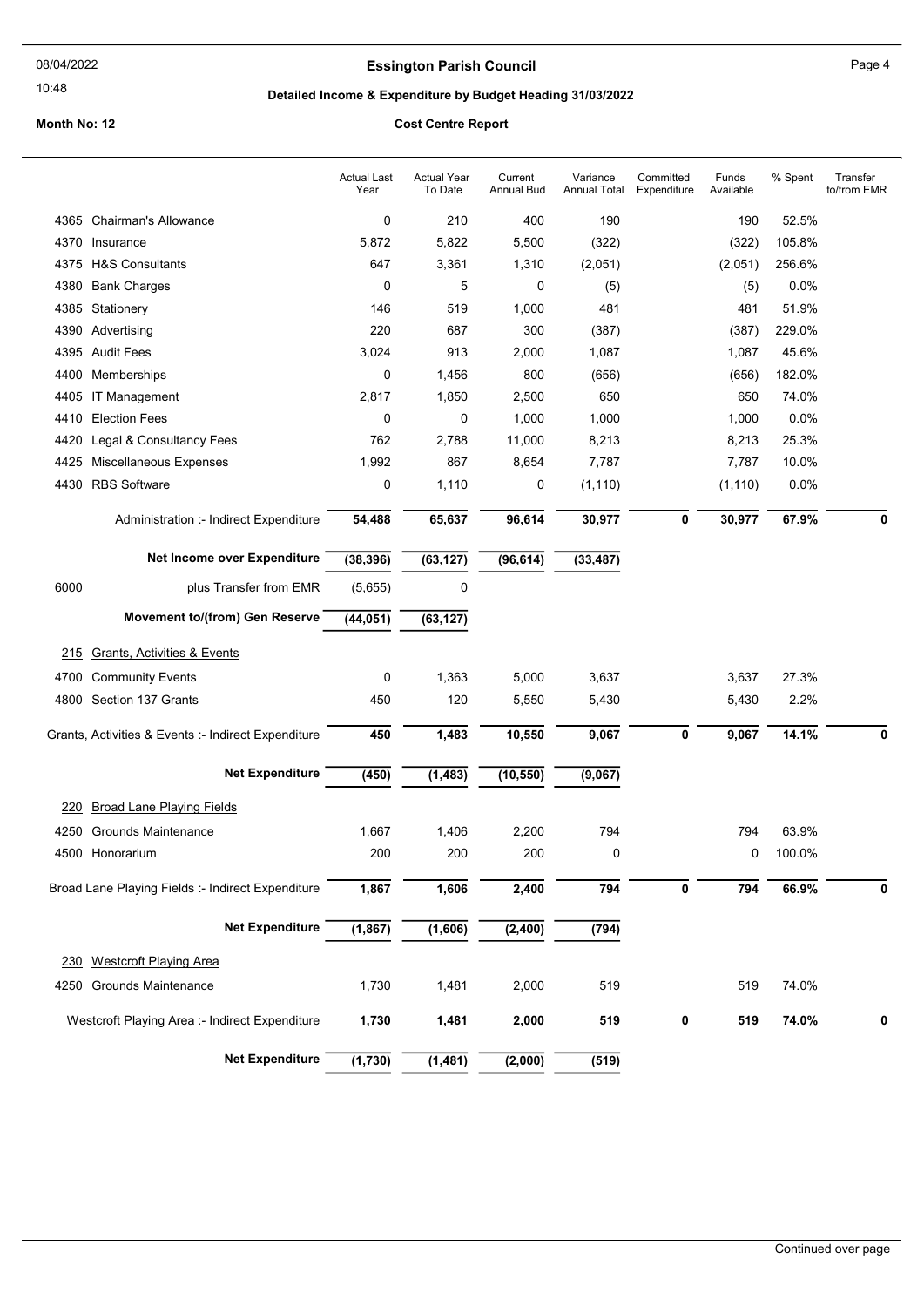# Essington Parish Council **Essington Parish Council**

10:48

# Detailed Income & Expenditure by Budget Heading 31/03/2022

|      |                                                     | <b>Actual Last</b><br>Year | <b>Actual Year</b><br>To Date | Current<br>Annual Bud | Variance<br>Annual Total | Committed<br>Expenditure | Funds<br>Available | % Spent | Transfer<br>to/from EMR |
|------|-----------------------------------------------------|----------------------------|-------------------------------|-----------------------|--------------------------|--------------------------|--------------------|---------|-------------------------|
|      | 4365 Chairman's Allowance                           | 0                          | 210                           | 400                   | 190                      |                          | 190                | 52.5%   |                         |
|      | 4370 Insurance                                      | 5,872                      | 5,822                         | 5,500                 | (322)                    |                          | (322)              | 105.8%  |                         |
|      | 4375 H&S Consultants                                | 647                        | 3,361                         | 1,310                 | (2,051)                  |                          | (2,051)            | 256.6%  |                         |
| 4380 | <b>Bank Charges</b>                                 | 0                          | 5                             | 0                     | (5)                      |                          | (5)                | 0.0%    |                         |
|      | 4385 Stationery                                     | 146                        | 519                           | 1,000                 | 481                      |                          | 481                | 51.9%   |                         |
|      | 4390 Advertising                                    | 220                        | 687                           | 300                   | (387)                    |                          | (387)              | 229.0%  |                         |
|      | 4395 Audit Fees                                     | 3,024                      | 913                           | 2,000                 | 1,087                    |                          | 1,087              | 45.6%   |                         |
|      | 4400 Memberships                                    | 0                          | 1,456                         | 800                   | (656)                    |                          | (656)              | 182.0%  |                         |
|      | 4405 IT Management                                  | 2,817                      | 1,850                         | 2,500                 | 650                      |                          | 650                | 74.0%   |                         |
| 4410 | <b>Election Fees</b>                                | 0                          | 0                             | 1,000                 | 1,000                    |                          | 1,000              | $0.0\%$ |                         |
| 4420 | Legal & Consultancy Fees                            | 762                        | 2,788                         | 11,000                | 8,213                    |                          | 8,213              | 25.3%   |                         |
| 4425 | Miscellaneous Expenses                              | 1,992                      | 867                           | 8,654                 | 7,787                    |                          | 7,787              | 10.0%   |                         |
|      | 4430 RBS Software                                   | 0                          | 1,110                         | 0                     | (1, 110)                 |                          | (1, 110)           | 0.0%    |                         |
|      | Administration :- Indirect Expenditure              | 54,488                     | 65,637                        | 96,614                | 30,977                   | 0                        | 30,977             | 67.9%   | 0                       |
|      | Net Income over Expenditure                         | (38, 396)                  | (63, 127)                     | (96, 614)             | (33, 487)                |                          |                    |         |                         |
| 6000 | plus Transfer from EMR                              | (5,655)                    | 0                             |                       |                          |                          |                    |         |                         |
|      | <b>Movement to/(from) Gen Reserve</b>               | (44, 051)                  | (63, 127)                     |                       |                          |                          |                    |         |                         |
| 215  | <b>Grants, Activities &amp; Events</b>              |                            |                               |                       |                          |                          |                    |         |                         |
|      | 4700 Community Events                               | 0                          | 1,363                         | 5,000                 | 3,637                    |                          | 3,637              | 27.3%   |                         |
|      | 4800 Section 137 Grants                             | 450                        | 120                           | 5,550                 | 5,430                    |                          | 5,430              | 2.2%    |                         |
|      |                                                     |                            |                               |                       |                          |                          |                    |         |                         |
|      | Grants, Activities & Events :- Indirect Expenditure | 450                        | 1,483                         | 10,550                | 9,067                    | $\pmb{0}$                | 9,067              | 14.1%   | 0                       |
|      | <b>Net Expenditure</b>                              | (450)                      | (1, 483)                      | (10, 550)             | (9,067)                  |                          |                    |         |                         |
| 220  | <b>Broad Lane Playing Fields</b>                    |                            |                               |                       |                          |                          |                    |         |                         |
|      | 4250 Grounds Maintenance                            | 1,667                      | 1,406                         | 2,200                 | 794                      |                          | 794                | 63.9%   |                         |
|      | 4500 Honorarium                                     | 200                        | 200                           | 200                   | 0                        |                          | 0                  | 100.0%  |                         |
|      | Broad Lane Playing Fields :- Indirect Expenditure   | 1,867                      | 1,606                         | 2,400                 | 794                      | 0                        | 794                | 66.9%   | 0                       |
|      | <b>Net Expenditure</b>                              | (1, 867)                   | (1,606)                       | (2, 400)              | (794)                    |                          |                    |         |                         |
|      | 230 Westcroft Playing Area                          |                            |                               |                       |                          |                          |                    |         |                         |
|      | 4250 Grounds Maintenance                            | 1,730                      | 1,481                         | 2,000                 | 519                      |                          | 519                | 74.0%   |                         |
|      | Westcroft Playing Area :- Indirect Expenditure      | 1,730                      | 1,481                         | 2,000                 | 519                      | $\pmb{0}$                | 519                | 74.0%   | 0                       |
|      | <b>Net Expenditure</b>                              | (1,730)                    | (1, 481)                      | (2,000)               | (519)                    |                          |                    |         |                         |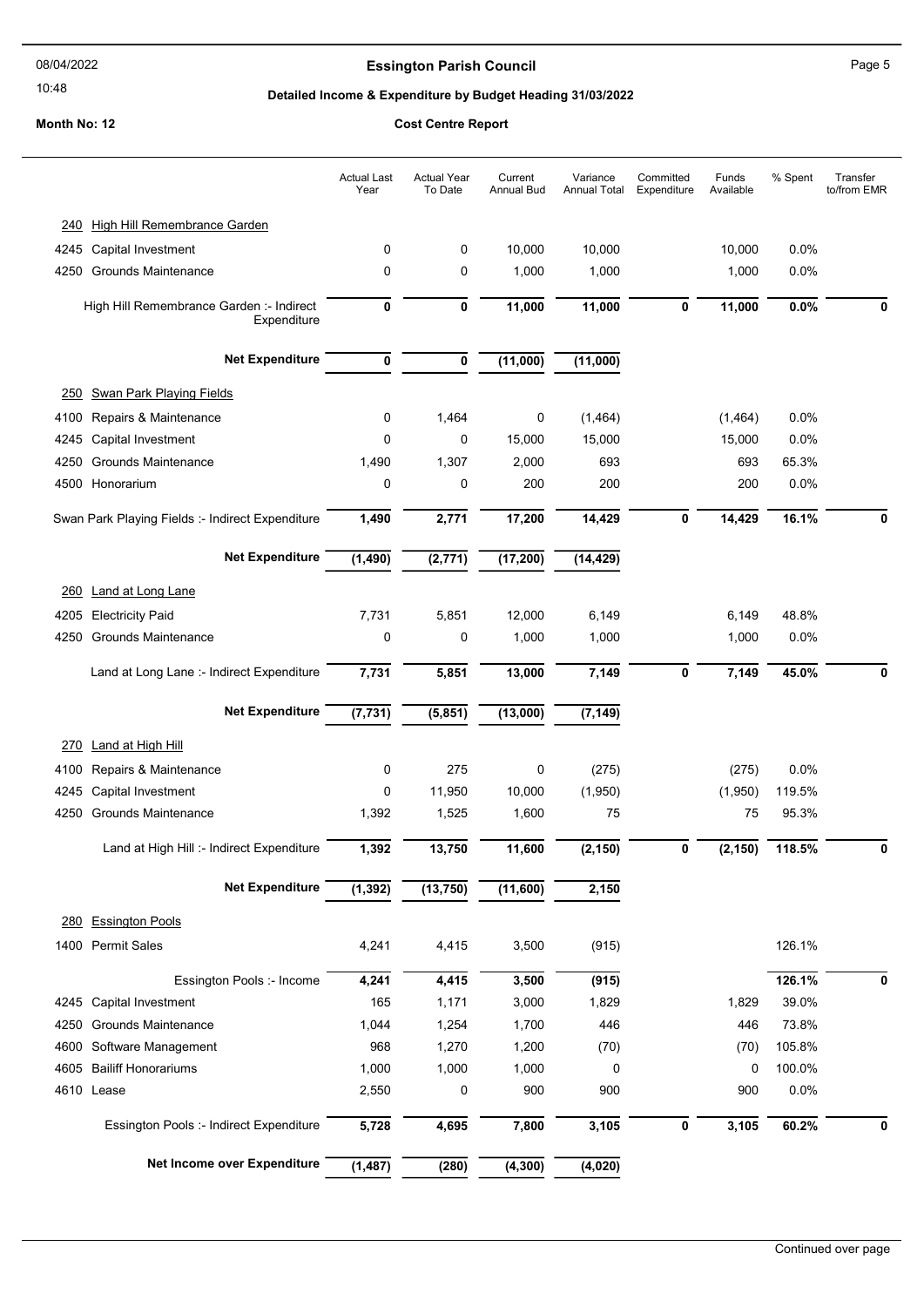### 10:48

## **Essington Parish Council** Page 5

#### Detailed Income & Expenditure by Budget Heading 31/03/2022

#### Month No: 12 Cost Centre Report

# Actual Year To Date Current Annual Bud Variance Annual Total **Committed** Expenditure Funds Available Actual Last Year % Spent Transfer to/from EMR 240 High Hill Remembrance Garden 4245 Capital Investment 0 0 10,000 10,000 10,000 0.0% 4250 Grounds Maintenance 0 0 1,000 1,000 1,000 0.0% High Hill Remembrance Garden :- Indirect **0 11,000** 11,000 **Expenditure**  $\frac{11,000}{0}$   $\frac{11,000}{0}$   $\frac{0.0\%}{0}$  0 Net Expenditure  $\frac{1}{0}$   $\frac{1}{0}$   $\frac{1}{0}$   $\frac{1}{0}$   $\frac{1}{0}$   $\frac{1}{0}$   $\frac{1}{0}$   $\frac{1}{0}$   $\frac{1}{0}$   $\frac{1}{0}$   $\frac{1}{0}$   $\frac{1}{0}$   $\frac{1}{0}$   $\frac{1}{0}$   $\frac{1}{0}$   $\frac{1}{0}$   $\frac{1}{0}$   $\frac{1}{0}$   $\frac{1}{0}$   $\frac{1}{0}$   $\frac{1$ 250 Swan Park Playing Fields 4100 Repairs & Maintenance 0 1,464 0 (1,464) (1,464) 0.0% 4245 Capital Investment 0 0 15,000 15,000 15,000 0.0% 4250 Grounds Maintenance 1,490 1,307 2,000 693 693 65.3% 4500 Honorarium 0 0 200 200 200 0.0% Swan Park Playing Fields :- Indirect Expenditure 1,490 2,771 17,200 14,429 0 14,429 16.1% 0 Net Expenditure (1,490) (2,771) (17,200) (14,429) 260 Land at Long Lane 4205 Electricity Paid 7,731 5,851 12,000 6,149 6,149 48.8% 4250 Grounds Maintenance 0 0 1,000 1,000 1,000 0.0% Land at Long Lane :- Indirect Expenditure 7,731 5,851 13,000 7,149 0 7,149 45.0% 0 Net Expenditure (7,731) (5,851) (13,000) (7,149) 270 Land at High Hill 4100 Repairs & Maintenance 0 275 0 (275) (275) 0.0% 4245 Capital Investment 0 11,950 10,000 (1,950) (1,950) 119.5% 4250 Grounds Maintenance 1,392 1,525 1,600 75 75 95.3% Land at High Hill :- Indirect Expenditure 1,392 13,750 11,600 (2,150) 0 (2,150) 118.5% 0 Net Expenditure (1,392) (13,750) (11,600) 2,150 280 Essington Pools 1400 Permit Sales 126.1% 126.1% 126.1% 14.241 14.415 13.500 1915) 126.1% 126.1% Essington Pools :- Income 4,241 4,415 3,500 (915) 126.1% 126.1% 0 4245 Capital Investment 165 1,171 3,000 1,829 1,829 39.0% 4250 Grounds Maintenance 1,044 1,254 1,700 446 446 73.8% 4600 Software Management 968 1,270 1,200 (70) (70) 105.8% 4605 Bailiff Honorariums 1,000 1,000 1,000 0 0 100.0% 4610 Lease 2,550 0 900 900 900 0.0% Essington Pools :- Indirect Expenditure  $\frac{1}{5,728}$   $\frac{4,695}{4,695}$   $\frac{1}{7,800}$   $\frac{3,105}{3,105}$   $\frac{1}{0}$   $\frac{3,105}{60.2\%}$   $\frac{1}{0}$ Net Income over Expenditure (1,487) (280) (4,300) (4,020)